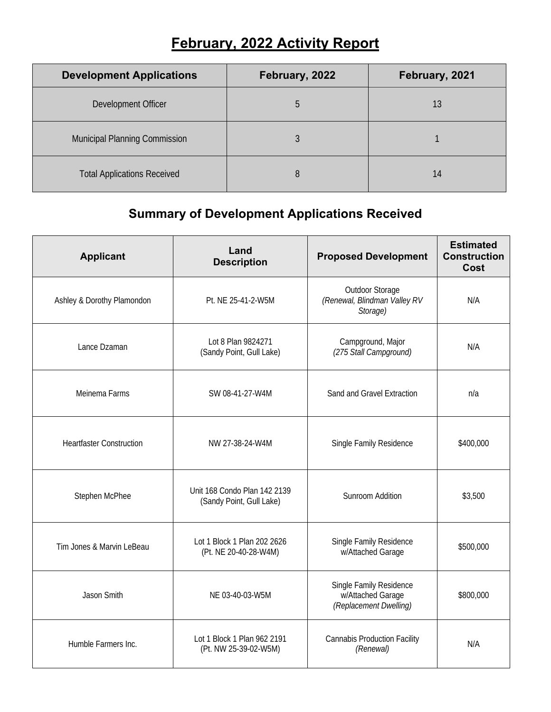## **February, 2022 Activity Report**

| <b>Development Applications</b>      | February, 2022 | February, 2021 |
|--------------------------------------|----------------|----------------|
| Development Officer                  | h.             | 13             |
| <b>Municipal Planning Commission</b> |                |                |
| <b>Total Applications Received</b>   | 8              | 14             |

## **Summary of Development Applications Received**

| <b>Applicant</b>                | Land<br><b>Description</b>                               | <b>Proposed Development</b>                                            | <b>Estimated</b><br><b>Construction</b><br>Cost |
|---------------------------------|----------------------------------------------------------|------------------------------------------------------------------------|-------------------------------------------------|
| Ashley & Dorothy Plamondon      | Pt. NE 25-41-2-W5M                                       | Outdoor Storage<br>(Renewal, Blindman Valley RV<br>Storage)            | N/A                                             |
| Lance Dzaman                    | Lot 8 Plan 9824271<br>(Sandy Point, Gull Lake)           | Campground, Major<br>(275 Stall Campground)                            | N/A                                             |
| Meinema Farms                   | SW 08-41-27-W4M                                          | Sand and Gravel Extraction                                             | n/a                                             |
| <b>Heartfaster Construction</b> | NW 27-38-24-W4M                                          | Single Family Residence                                                | \$400,000                                       |
| Stephen McPhee                  | Unit 168 Condo Plan 142 2139<br>(Sandy Point, Gull Lake) | Sunroom Addition                                                       | \$3,500                                         |
| Tim Jones & Marvin LeBeau       | Lot 1 Block 1 Plan 202 2626<br>(Pt. NE 20-40-28-W4M)     | Single Family Residence<br>w/Attached Garage                           | \$500,000                                       |
| Jason Smith                     | NE 03-40-03-W5M                                          | Single Family Residence<br>w/Attached Garage<br>(Replacement Dwelling) | \$800,000                                       |
| Humble Farmers Inc.             | Lot 1 Block 1 Plan 962 2191<br>(Pt. NW 25-39-02-W5M)     | <b>Cannabis Production Facility</b><br>(Renewal)                       | N/A                                             |